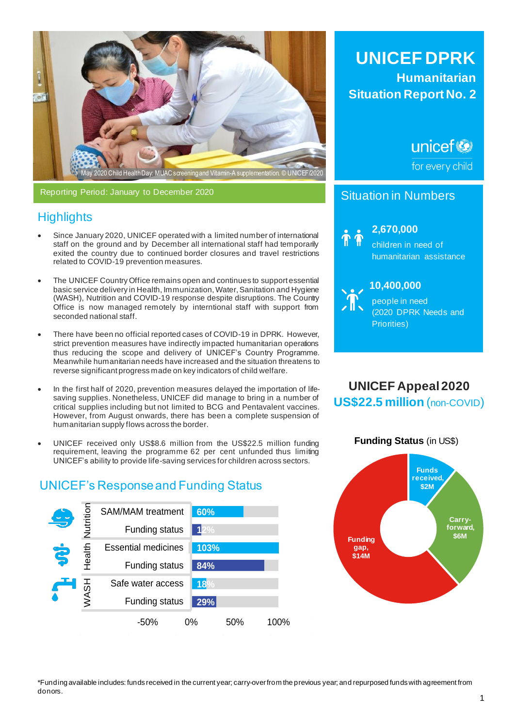

Reporting Period: January to December 2020

# **Highlights**

- Since January 2020, UNICEF operated with a limited number of international staff on the ground and by December all international staff had temporarily exited the country due to continued border closures and travel restrictions related to COVID-19 prevention measures.
- The UNICEF Country Office remains open and continues to support essential basic service delivery in Health, Immunization, Water, Sanitation and Hygiene (WASH), Nutrition and COVID-19 response despite disruptions. The Country Office is now managed remotely by interntional staff with support from seconded national staff.
- There have been no official reported cases of COVID-19 in DPRK. However, strict prevention measures have indirectly impacted humanitarian operations thus reducing the scope and delivery of UNICEF's Country Programme. Meanwhile humanitarian needs have increased and the situation threatens to reverse significant progress made on key indicators of child welfare.
- In the first half of 2020, prevention measures delayed the importation of lifesaving supplies. Nonetheless, UNICEF did manage to bring in a number of critical supplies including but not limited to BCG and Pentavalent vaccines. However, from August onwards, there has been a complete suspension of humanitarian supply flows across the border.
- UNICEF received only US\$8.6 million from the US\$22.5 million funding requirement, leaving the programme 62 per cent unfunded thus limiting UNICEF's ability to provide life-saving services for children across sectors.

# UNICEF's Response and Funding Status



**UNICEF DPRK Humanitarian Situation Report No. 2**

unicef<sup>(3)</sup>

for every child

# Situation in Numbers



**2,59 2,670,000** 

children in need of humanitarian assistance



**10,9 10,400,000** 

people in need (2020 DPRK Needs and Priorities)

**UNICEF Appeal 2020 US\$22.5 million** (non-COVID)



\*Funding available includes: funds received in the current year; carry-over from the previous year; and repurposed funds with agreement from donors.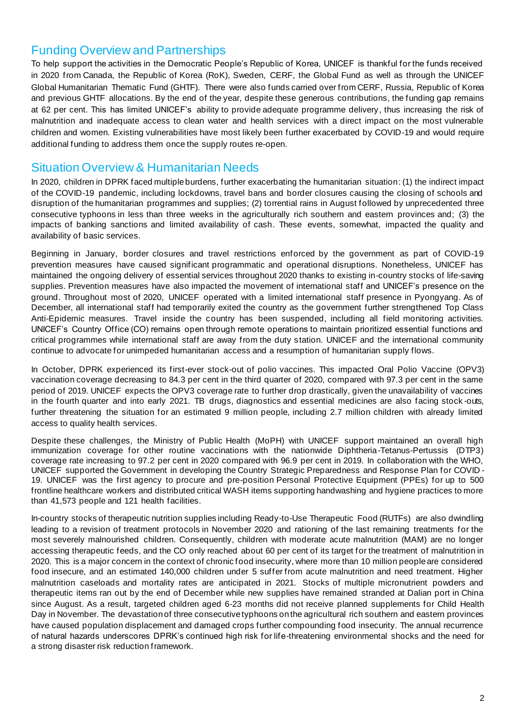## Funding Overview and Partnerships

To help support the activities in the Democratic People's Republic of Korea, UNICEF is thankful for the funds received in 2020 from Canada, the Republic of Korea (RoK), Sweden, CERF, the Global Fund as well as through the UNICEF Global Humanitarian Thematic Fund (GHTF). There were also funds carried over from CERF, Russia, Republic of Korea and previous GHTF allocations. By the end of the year, despite these generous contributions, the funding gap remains at 62 per cent. This has limited UNICEF's ability to provide adequate programme delivery, thus increasing the risk of malnutrition and inadequate access to clean water and health services with a direct impact on the most vulnerable children and women. Existing vulnerabilities have most likely been further exacerbated by COVID-19 and would require additional funding to address them once the supply routes re-open.

## Situation Overview & Humanitarian Needs

In 2020, children in DPRK faced multiple burdens, further exacerbating the humanitarian situation: (1) the indirect impact of the COVID-19 pandemic, including lockdowns, travel bans and border closures causing the closing of schools and disruption of the humanitarian programmes and supplies; (2) torrential rains in August followed by unprecedented three consecutive typhoons in less than three weeks in the agriculturally rich southern and eastern provinces and; (3) the impacts of banking sanctions and limited availability of cash. These events, somewhat, impacted the quality and availability of basic services.

Beginning in January, border closures and travel restrictions enforced by the government as part of COVID-19 prevention measures have caused significant programmatic and operational disruptions. Nonetheless, UNICEF has maintained the ongoing delivery of essential services throughout 2020 thanks to existing in-country stocks of life-saving supplies. Prevention measures have also impacted the movement of international staff and UNICEF's presence on the ground. Throughout most of 2020, UNICEF operated with a limited international staff presence in Pyongyang. As of December, all international staff had temporarily exited the country as the government further strengthened Top Class Anti-Epidemic measures. Travel inside the country has been suspended, including all field monitoring activities. UNICEF's Country Office (CO) remains open through remote operations to maintain prioritized essential functions and critical programmes while international staff are away from the duty station. UNICEF and the international community continue to advocate for unimpeded humanitarian access and a resumption of humanitarian supply flows.

In October, DPRK experienced its first-ever stock-out of polio vaccines. This impacted Oral Polio Vaccine (OPV3) vaccination coverage decreasing to 84.3 per cent in the third quarter of 2020, compared with 97.3 per cent in the same period of 2019. UNICEF expects the OPV3 coverage rate to further drop drastically, given the unavailability of vaccines in the fourth quarter and into early 2021. TB drugs, diagnostics and essential medicines are also facing stock -outs, further threatening the situation for an estimated 9 million people, including 2.7 million children with already limited access to quality health services.

Despite these challenges, the Ministry of Public Health (MoPH) with UNICEF support maintained an overall high immunization coverage for other routine vaccinations with the nationwide Diphtheria-Tetanus-Pertussis (DTP3) coverage rate increasing to 97.2 per cent in 2020 compared with 96.9 per cent in 2019. In collaboration with the WHO, UNICEF supported the Government in developing the Country Strategic Preparedness and Response Plan for COVID - 19. UNICEF was the first agency to procure and pre-position Personal Protective Equipment (PPEs) for up to 500 frontline healthcare workers and distributed critical WASH items supporting handwashing and hygiene practices to more than 41,573 people and 121 health facilities.

In-country stocks of therapeutic nutrition supplies including Ready-to-Use Therapeutic Food (RUTFs) are also dwindling leading to a revision of treatment protocols in November 2020 and rationing of the last remaining treatments for the most severely malnourished children. Consequently, children with moderate acute malnutrition (MAM) are no longer accessing therapeutic feeds, and the CO only reached about 60 per cent of its target for the treatment of malnutrition in 2020. This is a major concern in the context of chronic food insecurity, where more than 10 million people are considered food insecure, and an estimated 140,000 children under 5 suffer from acute malnutrition and need treatment. Higher malnutrition caseloads and mortality rates are anticipated in 2021. Stocks of multiple micronutrient powders and therapeutic items ran out by the end of December while new supplies have remained stranded at Dalian port in China since August. As a result, targeted children aged 6-23 months did not receive planned supplements for Child Health Day in November. The devastation of three consecutive typhoons on the agricultural rich southern and eastern provinces have caused population displacement and damaged crops further compounding food insecurity. The annual recurrence of natural hazards underscores DPRK's continued high risk for life-threatening environmental shocks and the need for a strong disaster risk reduction framework.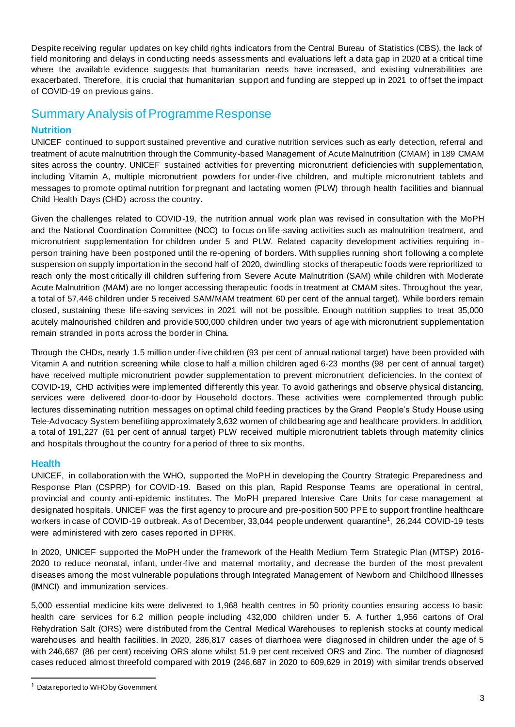Despite receiving regular updates on key child rights indicators from the Central Bureau of Statistics (CBS), the lack of field monitoring and delays in conducting needs assessments and evaluations left a data gap in 2020 at a critical time where the available evidence suggests that humanitarian needs have increased, and existing vulnerabilities are exacerbated. Therefore, it is crucial that humanitarian support and funding are stepped up in 2021 to offset the impact of COVID-19 on previous gains.

# Summary Analysis of Programme Response

### **Nutrition**

UNICEF continued to support sustained preventive and curative nutrition services such as early detection, referral and treatment of acute malnutrition through the Community-based Management of Acute Malnutrition (CMAM) in 189 CMAM sites across the country. UNICEF sustained activities for preventing micronutrient deficiencies with supplementation, including Vitamin A, multiple micronutrient powders for under-five children, and multiple micronutrient tablets and messages to promote optimal nutrition for pregnant and lactating women (PLW) through health facilities and biannual Child Health Days (CHD) across the country.

Given the challenges related to COVID-19, the nutrition annual work plan was revised in consultation with the MoPH and the National Coordination Committee (NCC) to focus on life-saving activities such as malnutrition treatment, and micronutrient supplementation for children under 5 and PLW. Related capacity development activities requiring inperson training have been postponed until the re-opening of borders. With supplies running short following a complete suspension on supply importation in the second half of 2020, dwindling stocks of therapeutic foods were reprioritized to reach only the most critically ill children suffering from Severe Acute Malnutrition (SAM) while children with Moderate Acute Malnutrition (MAM) are no longer accessing therapeutic foods in treatment at CMAM sites. Throughout the year, a total of 57,446 children under 5 received SAM/MAM treatment 60 per cent of the annual target). While borders remain closed, sustaining these life-saving services in 2021 will not be possible. Enough nutrition supplies to treat 35,000 acutely malnourished children and provide 500,000 children under two years of age with micronutrient supplementation remain stranded in ports across the border in China.

Through the CHDs, nearly 1.5 million under-five children (93 per cent of annual national target) have been provided with Vitamin A and nutrition screening while close to half a million children aged 6-23 months (98 per cent of annual target) have received multiple micronutrient powder supplementation to prevent micronutrient deficiencies. In the context of COVID-19, CHD activities were implemented differently this year. To avoid gatherings and observe physical distancing, services were delivered door-to-door by Household doctors. These activities were complemented through public lectures disseminating nutrition messages on optimal child feeding practices by the Grand People's Study House using Tele-Advocacy System benefiting approximately 3,632 women of childbearing age and healthcare providers. In addition, a total of 191,227 (61 per cent of annual target) PLW received multiple micronutrient tablets through maternity clinics and hospitals throughout the country for a period of three to six months.

#### **Health**

UNICEF, in collaboration with the WHO, supported the MoPH in developing the Country Strategic Preparedness and Response Plan (CSPRP) for COVID-19. Based on this plan, Rapid Response Teams are operational in central, provincial and county anti-epidemic institutes. The MoPH prepared Intensive Care Units for case management at designated hospitals. UNICEF was the first agency to procure and pre-position 500 PPE to support frontline healthcare workers in case of COVID-19 outbreak. As of December, 33,044 people underwent quarantine<sup>1</sup> , 26,244 COVID-19 tests were administered with zero cases reported in DPRK.

In 2020, UNICEF supported the MoPH under the framework of the Health Medium Term Strategic Plan (MTSP) 2016- 2020 to reduce neonatal, infant, under-five and maternal mortality, and decrease the burden of the most prevalent diseases among the most vulnerable populations through Integrated Management of Newborn and Childhood Illnesses (IMNCI) and immunization services.

5,000 essential medicine kits were delivered to 1,968 health centres in 50 priority counties ensuring access to basic health care services for 6.2 million people including 432,000 children under 5. A further 1,956 cartons of Oral Rehydration Salt (ORS) were distributed from the Central Medical Warehouses to replenish stocks at county medical warehouses and health facilities. In 2020, 286,817 cases of diarrhoea were diagnosed in children under the age of 5 with 246,687 (86 per cent) receiving ORS alone whilst 51.9 per cent received ORS and Zinc. The number of diagnosed cases reduced almost threefold compared with 2019 (246,687 in 2020 to 609,629 in 2019) with similar trends observed

<sup>1</sup> Data reported to WHO by Government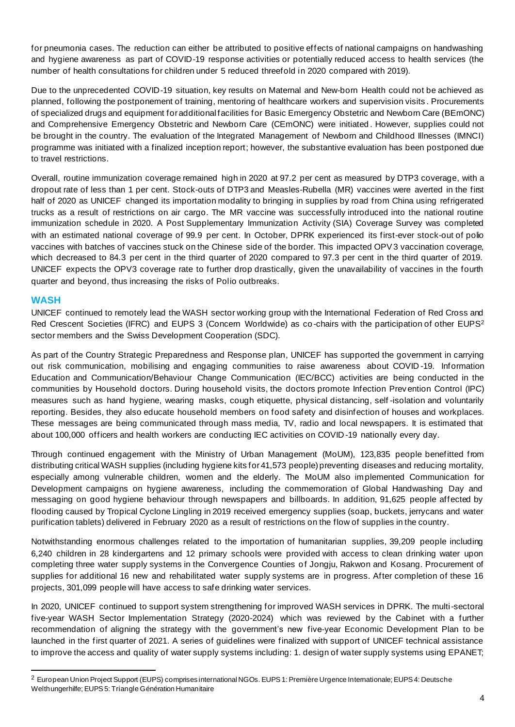for pneumonia cases. The reduction can either be attributed to positive effects of national campaigns on handwashing and hygiene awareness as part of COVID-19 response activities or potentially reduced access to health services (the number of health consultations for children under 5 reduced threefold in 2020 compared with 2019).

Due to the unprecedented COVID-19 situation, key results on Maternal and New-born Health could not be achieved as planned, following the postponement of training, mentoring of healthcare workers and supervision visits . Procurements of specialized drugs and equipment for additional facilities for Basic Emergency Obstetric and Newborn Care (BEmONC) and Comprehensive Emergency Obstetric and Newborn Care (CEmONC) were initiated . However, supplies could not be brought in the country. The evaluation of the Integrated Management of Newborn and Childhood Illnesses (IMNCI) programme was initiated with a finalized inception report; however, the substantive evaluation has been postponed due to travel restrictions.

Overall, routine immunization coverage remained high in 2020 at 97.2 per cent as measured by DTP3 coverage, with a dropout rate of less than 1 per cent. Stock-outs of DTP3 and Measles-Rubella (MR) vaccines were averted in the first half of 2020 as UNICEF changed its importation modality to bringing in supplies by road from China using refrigerated trucks as a result of restrictions on air cargo. The MR vaccine was successfully introduced into the national routine immunization schedule in 2020. A Post Supplementary Immunization Activity (SIA) Coverage Survey was completed with an estimated national coverage of 99.9 per cent. In October, DPRK experienced its first-ever stock-out of polio vaccines with batches of vaccines stuck on the Chinese side of the border. This impacted OPV3 vaccination coverage, which decreased to 84.3 per cent in the third quarter of 2020 compared to 97.3 per cent in the third quarter of 2019. UNICEF expects the OPV3 coverage rate to further drop drastically, given the unavailability of vaccines in the fourth quarter and beyond, thus increasing the risks of Polio outbreaks.

#### **WASH**

UNICEF continued to remotely lead the WASH sector working group with the International Federation of Red Cross and Red Crescent Societies (IFRC) and EUPS 3 (Concern Worldwide) as co-chairs with the participation of other EUPS<sup>2</sup> sector members and the Swiss Development Cooperation (SDC).

As part of the Country Strategic Preparedness and Response plan, UNICEF has supported the government in carrying out risk communication, mobilising and engaging communities to raise awareness about COVID -19. Information Education and Communication/Behaviour Change Communication (IEC/BCC) activities are being conducted in the communities by Household doctors. During household visits, the doctors promote Infection Prev ention Control (IPC) measures such as hand hygiene, wearing masks, cough etiquette, physical distancing, self -isolation and voluntarily reporting. Besides, they also educate household members on food safety and disinfection of houses and workplaces. These messages are being communicated through mass media, TV, radio and local newspapers. It is estimated that about 100,000 officers and health workers are conducting IEC activities on COVID -19 nationally every day.

Through continued engagement with the Ministry of Urban Management (MoUM), 123,835 people benefitted from distributing critical WASH supplies (including hygiene kits for 41,573 people) preventing diseases and reducing mortality, especially among vulnerable children, women and the elderly. The MoUM also implemented Communication for Development campaigns on hygiene awareness, including the commemoration of Global Handwashing Day and messaging on good hygiene behaviour through newspapers and billboards. In addition, 91,625 people affected by flooding caused by Tropical Cyclone Lingling in 2019 received emergency supplies (soap, buckets, jerrycans and water purification tablets) delivered in February 2020 as a result of restrictions on the flow of supplies in the country.

Notwithstanding enormous challenges related to the importation of humanitarian supplies, 39,209 people including 6,240 children in 28 kindergartens and 12 primary schools were provided with access to clean drinking water upon completing three water supply systems in the Convergence Counties of Jongju, Rakwon and Kosang. Procurement of supplies for additional 16 new and rehabilitated water supply systems are in progress. After completion of these 16 projects, 301,099 people will have access to safe drinking water services.

In 2020, UNICEF continued to support system strengthening for improved WASH services in DPRK. The multi-sectoral five-year WASH Sector Implementation Strategy (2020-2024) which was reviewed by the Cabinet with a further recommendation of aligning the strategy with the government's new five-year Economic Development Plan to be launched in the first quarter of 2021. A series of guidelines were finalized with support of UNICEF technical assistance to improve the access and quality of water supply systems including: 1. design of water supply systems using EPANET;

<sup>&</sup>lt;sup>2</sup> European Union Project Support (EUPS) comprises international NGOs. EUPS 1: Première Urgence Internationale; EUPS 4: Deutsche Welthungerhilfe; EUPS 5: Triangle Génération Humanitaire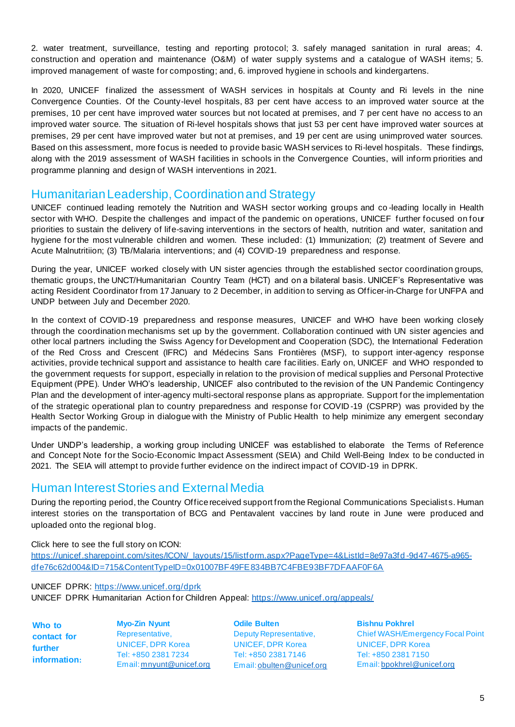2. water treatment, surveillance, testing and reporting protocol; 3. safely managed sanitation in rural areas; 4. construction and operation and maintenance (O&M) of water supply systems and a catalogue of WASH items; 5. improved management of waste for composting; and, 6. improved hygiene in schools and kindergartens.

In 2020, UNICEF finalized the assessment of WASH services in hospitals at County and Ri levels in the nine Convergence Counties. Of the County-level hospitals, 83 per cent have access to an improved water source at the premises, 10 per cent have improved water sources but not located at premises, and 7 per cent have no access to an improved water source. The situation of Ri-level hospitals shows that just 53 per cent have improved water sources at premises, 29 per cent have improved water but not at premises, and 19 per cent are using unimproved water sources. Based on this assessment, more focus is needed to provide basic WASH services to Ri-level hospitals. These findings, along with the 2019 assessment of WASH facilities in schools in the Convergence Counties, will inform priorities and programme planning and design of WASH interventions in 2021.

## Humanitarian Leadership, Coordination and Strategy

UNICEF continued leading remotely the Nutrition and WASH sector working groups and co -leading locally in Health sector with WHO. Despite the challenges and impact of the pandemic on operations, UNICEF further focused on four priorities to sustain the delivery of life-saving interventions in the sectors of health, nutrition and water, sanitation and hygiene for the most vulnerable children and women. These included: (1) Immunization; (2) treatment of Severe and Acute Malnutritiion; (3) TB/Malaria interventions; and (4) COVID-19 preparedness and response.

During the year, UNICEF worked closely with UN sister agencies through the established sector coordination groups, thematic groups, the UNCT/Humanitarian Country Team (HCT) and on a bilateral basis. UNICEF's Representative was acting Resident Coordinator from 17 January to 2 December, in addition to serving as Officer-in-Charge for UNFPA and UNDP between July and December 2020.

In the context of COVID-19 preparedness and response measures, UNICEF and WHO have been working closely through the coordination mechanisms set up by the government. Collaboration continued with UN sister agencies and other local partners including the Swiss Agency for Development and Cooperation (SDC), the International Federation of the Red Cross and Crescent (IFRC) and Médecins Sans Frontières (MSF), to support inter-agency response activities, provide technical support and assistance to health care fac ilities. Early on, UNICEF and WHO responded to the government requests for support, especially in relation to the provision of medical supplies and Personal Protective Equipment (PPE). Under WHO's leadership, UNICEF also contributed to the revision of the UN Pandemic Contingency Plan and the development of inter-agency multi-sectoral response plans as appropriate. Support for the implementation of the strategic operational plan to country preparedness and response for COVID -19 (CSPRP) was provided by the Health Sector Working Group in dialogue with the Ministry of Public Health to help minimize any emergent secondary impacts of the pandemic.

Under UNDP's leadership, a working group including UNICEF was established to elaborate the Terms of Reference and Concept Note for the Socio-Economic Impact Assessment (SEIA) and Child Well-Being Index to be conducted in 2021. The SEIA will attempt to provide further evidence on the indirect impact of COVID-19 in DPRK.

## Human Interest Stories and External Media

During the reporting period, the Country Office received support from the Regional Communications Specialists. Human interest stories on the transportation of BCG and Pentavalent vaccines by land route in June were produced and uploaded onto the regional blog.

#### Click here to see the full story on ICON:

[https://unicef.sharepoint.com/sites/ICON/\\_layouts/15/listform.aspx?PageType=4&ListId=8e97a3fd](https://unicef.sharepoint.com/sites/ICON/_layouts/15/listform.aspx?PageType=4&ListId=8e97a3fd-9d47-4675-a965-dfe76c62d004&ID=715&ContentTypeID=0x01007BF49FE834BB7C4FBE93BF7DFAAF0F6A)-9d47-4675-a965[dfe76c62d004&ID=715&ContentTypeID=0x01007BF49FE834BB7C4FBE93BF7DFAAF0F6A](https://unicef.sharepoint.com/sites/ICON/_layouts/15/listform.aspx?PageType=4&ListId=8e97a3fd-9d47-4675-a965-dfe76c62d004&ID=715&ContentTypeID=0x01007BF49FE834BB7C4FBE93BF7DFAAF0F6A)

UNICEF DPRK: [https://www.unicef.org/d](https://www.unicef.org/)prk

UNICEF DPRK Humanitarian Action for Children Appeal[: https://www.unicef.org/appeals/](https://www.unicef.org/appeals/)

**Who to contact for further information:** **Myo-Zin Nyunt** Representative, UNICEF, DPR Korea Tel: +850 2381 7234 Email[: mnyunt@unicef.org](mailto:mnyunt@unicef.org)

**Odile Bulten** Deputy Representative, UNICEF, DPR Korea Tel: +850 2381 7146 Email[: obulten@unicef.org](mailto:obulten@unicef.org) **Bishnu Pokhrel** Chief WASH/Emergency Focal Point UNICEF, DPR Korea Tel: +850 2381 7150 Email[: bpokhrel@unicef.org](mailto:bpokhrel@unicef.org)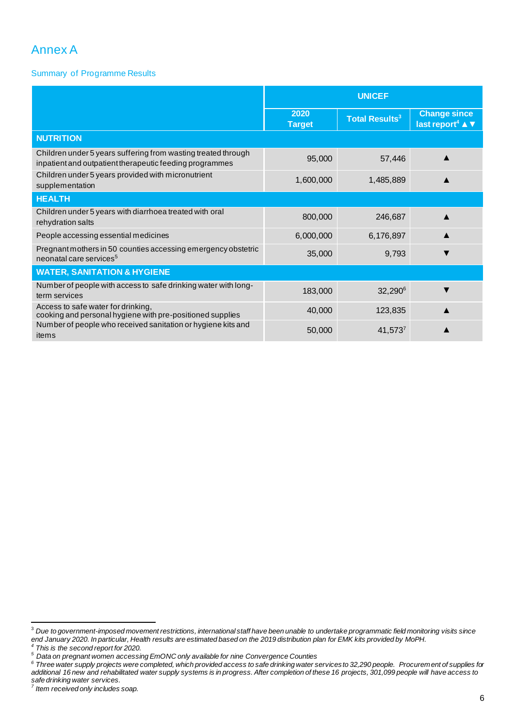# Annex A

Summary of Programme Results

|                                                                                                                          | <b>UNICEF</b>         |                                  |                                                     |  |  |  |
|--------------------------------------------------------------------------------------------------------------------------|-----------------------|----------------------------------|-----------------------------------------------------|--|--|--|
|                                                                                                                          | 2020<br><b>Target</b> | <b>Total Results<sup>3</sup></b> | <b>Change since</b><br>last report <sup>4</sup> ▲ ▼ |  |  |  |
| <b>NUTRITION</b>                                                                                                         |                       |                                  |                                                     |  |  |  |
| Children under 5 years suffering from wasting treated through<br>inpatient and outpatient therapeutic feeding programmes | 95,000                | 57,446                           |                                                     |  |  |  |
| Children under 5 years provided with micronutrient<br>supplementation                                                    | 1,600,000             | 1,485,889                        |                                                     |  |  |  |
| <b>HEALTH</b>                                                                                                            |                       |                                  |                                                     |  |  |  |
| Children under 5 years with diarrhoea treated with oral<br>rehydration salts                                             | 800,000               | 246,687                          |                                                     |  |  |  |
| People accessing essential medicines                                                                                     | 6,000,000             | 6,176,897                        |                                                     |  |  |  |
| Pregnant mothers in 50 counties accessing emergency obstetric<br>neonatal care services <sup>5</sup>                     | 35,000                | 9,793                            |                                                     |  |  |  |
| <b>WATER, SANITATION &amp; HYGIENE</b>                                                                                   |                       |                                  |                                                     |  |  |  |
| Number of people with access to safe drinking water with long-<br>term services                                          | 183,000               | 32,290 <sup>6</sup>              |                                                     |  |  |  |
| Access to safe water for drinking,<br>cooking and personal hygiene with pre-positioned supplies                          | 40,000                | 123,835                          |                                                     |  |  |  |
| Number of people who received sanitation or hygiene kits and<br>items                                                    | 50,000                | $41,573^7$                       |                                                     |  |  |  |

<sup>3</sup> *Due to government-imposed movement restrictions, international staff have been unable to undertake programmatic field monitoring visits since end January 2020. In particular, Health results are estimated based on the 2019 distribution plan for EMK kits provided by MoPH.*

*<sup>4</sup> This is the second report for 2020.* 

*<sup>5</sup> Data on pregnant women accessing EmONC only available for nine Convergence Counties*

*<sup>6</sup> Three water supply projects were completed, which provided access to safe drinking water services to 32,290 people. Procurement of supplies for additional 16 new and rehabilitated water supply systems is in progress. After completion of these 16 projects, 301,099 people will have access to safe drinking water services. 7 Item received only includes soap.*